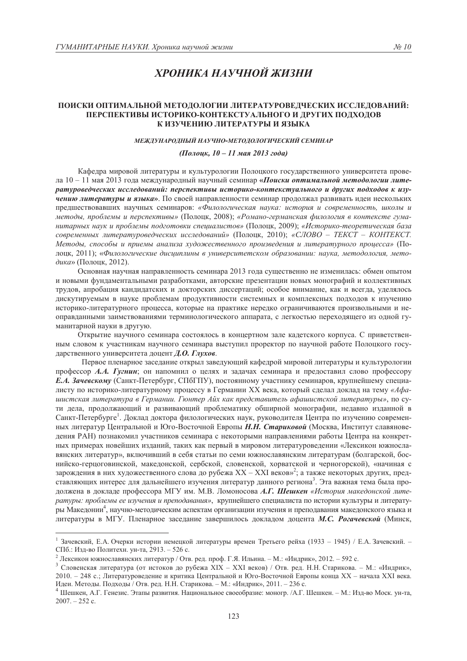# ХРОНИКА НАУЧНОЙ ЖИЗНИ

# ПОИСКИ ОПТИМАЛЬНОЙ МЕТОДОЛОГИИ ЛИТЕРАТУРОВЕДЧЕСКИХ ИССЛЕДОВАНИЙ: ПЕРСПЕКТИВЫ ИСТОРИКО-КОНТЕКСТУАЛЬНОГО И ДРУГИХ ПОДХОДОВ К ИЗУЧЕНИЮ ЛИТЕРАТУРЫ И ЯЗЫКА

### МЕЖДУНАРОДНЫЙ НАУЧНО-МЕТОДОЛОГИЧЕСКИЙ СЕМИНАР

# (Полоцк, 10 – 11 мая 2013 года)

Кафедра мировой литературы и культурологии Полоцкого государственного университета провела 10 - 11 мая 2013 года международный научный семинар «Поиски оптимальной методологии литературоведческих исследований: перспективы историко-контекстуального и других подходов к изучению литературы и языка». По своей направленности семинар продолжал развивать идеи нескольких предшествовавших научных семинаров: «Филологическая наука: история и современность, школы и методы, проблемы и перспективы» (Полоцк, 2008); «Романо-германская филология в контексте гуманитарных наук и проблемы подготовки специалистов» (Полоцк, 2009); «Историко-теоретическая база современных литературоведческих исследований» (Полоцк, 2010); «СЛОВО - ТЕКСТ - КОНТЕКСТ. Методы, способы и приемы анализа художественного произведения и литературного процесса» (Полоцк, 2011); «Филологические дисциплины в университетском образовании: наука, методология, методика» (Полоцк, 2012).

Основная научная направленность семинара 2013 года существенно не изменилась: обмен опытом и новыми фундаментальными разработками, авторские презентации новых монографий и коллективных трудов, апробация кандидатских и докторских диссертаций; особое внимание, как и всегда, уделялось дискутируемым в науке проблемам продуктивности системных и комплексных подходов к изучению историко-литературного процесса, которые на практике нередко ограничиваются произвольными и неоправданными заимствованиями терминологического аппарата, с легкостью переходящего из одной гуманитарной науки в другую.

Открытие научного семинара состоялось в концертном зале кадетского корпуса. С приветственным словом к участникам научного семинара выступил проректор по научной работе Полоцкого государственного университета доцент Д.О. Глухов.

Первое пленарное заседание открыл заведующий кафедрой мировой литературы и культурологии профессор А.А. Гугнин; он напомнил о целях и задачах семинара и предоставил слово профессору Е.А. Зачевскому (Санкт-Петербург, СПбГПУ), постоянному участнику семинаров, крупнейшему специалисту по историко-литературному процессу в Германии XX века, который сделал доклад на тему «Афаишстская литература в Германии. Гюнтер Айх как представитель афашистской литературы», по сути дела, продолжающий и развивающий проблематику обширной монографии, недавно изданной в Санкт-Петербурге<sup>1</sup>. Доклад доктора филологических наук, руководителя Центра по изучению современных литератур Центральной и Юго-Восточной Европы **Н.Н. Стариковой** (Москва, Институт славяноведения РАН) познакомил участников семинара с некоторыми направлениями работы Центра на конкретных примерах новейших изланий, таких как первый в мировом литературовелении «Лексикон южнославянских литератур», включивший в себя статьи по семи южнославянским литературам (болгарской, боснийско-герцоговинской, македонской, сербской, словенской, хорватской и черногорской), «начиная с зарождения в них художественного слова до рубежа XX - XXI веков»<sup>2</sup>; а также некоторых других, представляющих интерес для дальнейшего изучения литератур данного региона<sup>3</sup>. Эта важная тема была продолжена в докладе профессора МГУ им. М.В. Ломоносова А.Г. Шешкен «История македонской литературы: проблемы ее изучения и преподавания», крупнейшего специалиста по истории культуры и литературы Македонии<sup>4</sup>, научно-методическим аспектам организации изучения и преподавания македонского языка и литературы в МГУ. Пленарное заседание завершилось докладом доцента М.С. Рогачевской (Минск,

<sup>&</sup>lt;sup>1</sup> Зачевский, Е.А. Очерки истории немецкой литературы времен Третьего рейха (1933 - 1945) / Е.А. Зачевский. -СПб.: Изд-во Политехн. ун-та, 2913. - 526 с.

<sup>&</sup>lt;sup>2</sup> Лексикон южнославянских литератур / Отв. ред. проф. Г.Я. Ильина. – М.: «Индрик», 2012. – 592 с.

<sup>3</sup> Словенская литература (от истоков до рубежа XIX - XXI веков) / Отв. ред. Н.Н. Старикова. - М.: «Индрик», 2010. – 248 с.: Литературовеление и критика Пентральной и Юго-Восточной Европы конца XX – начала XXI века. Идеи. Методы. Подходы / Отв. ред. Н.Н. Старикова. - М.: «Индрик», 2011. - 236 с.

<sup>4</sup> Шешкен, А.Г. Генезис. Этапы развития. Национальное своеобразие: моногр. /А.Г. Шешкен. - М.: Изд-во Моск. ун-та,  $2007 - 252$  c.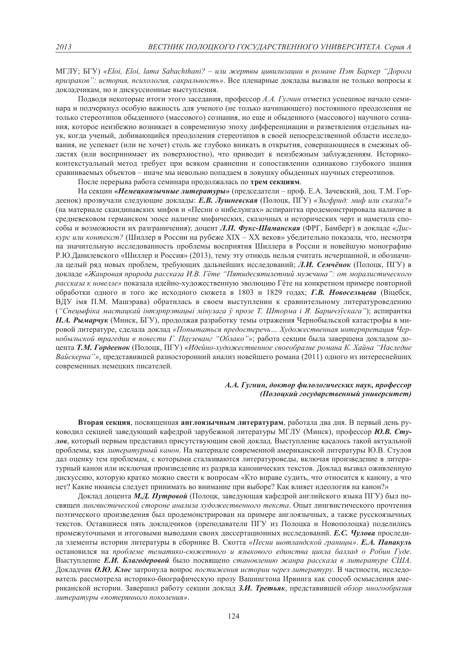МГЛУ; БГУ) «Eloi, Eloi, lama Sabachthani? – или жертвы цивилизации в романе Пэт Баркер "Дорога призраков": история, психология, сакральность». Все пленарные доклады вызвали не только вопросы к докладчикам, но и дискуссионные выступления.

Подводя некоторые итоги этого заседания, профессор А.А. Гугнин отметил успешное начало семинара и подчеркнул особую важность для ученого (не только начинающего) постоянного преодоления не только стереотипов обыленного (массового) сознания, но еще и обыленного (массового) научного сознания, которое неизбежно возникает в современную эпоху дифференциации и разветвления отдельных наук, когда ученый, добивающийся преодоления стереотипов в своей непосредственной области исследования, не успевает (или не хочет) столь же глубоко вникать в открытия, совершающиеся в смежных областях (или воспринимает их поверхностно), что приводит к неизбежным заблуждениям. Историкоконтекстуальный метод требует при всяком сравнении и сопоставлении одинаково глубокого знания сравниваемых объектов - иначе мы невольно попадаем в ловушку обыденных научных стереотипов.

После перерыва работа семинара продолжалась по трем секциям.

На секции «Немецкоязычные литературы» (председатели – проф. Е.А. Зачевский, доц. Т.М. Гордеенок) прозвучали следующие доклады: Е.В. Лушневская (Полоцк, ПГУ) «Зигфрид: миф или сказка?» (на материале скандинавских мифов и «Песни о нибелунгах» аспирантка продемонстрировала наличие в средневековом германском эпосе наличие мифических, сказочных и исторических черт и наметила способы и возможности их разграничения); доцент Л.П. Фукс-Шаманская (ФРГ, Бамберг) в докладе «Дискурс или контекст? (Шиллер в России на рубеже XIX – XX веков» убедительно показала, что, несмотря на значительную исследованность проблемы восприятия Шиллера в России и новейшую монографию Р.Ю. Ланилевского «Шиллер и Россия» (2013), тему эту отнюль нельзя считать исчерпанной, и обозначила целый ряд новых проблем, требующих дальнейших исследований; Л.И. Семчёнок (Полоцк, ПГУ) в докладе «Жанровая природа рассказа И.В. Гёте "Пятидесятилетний мужчина": от моралистического рассказа к новелле» показала идейно-художественную эволюцию Гёте на конкретном примере повторной обработки одного и того же исходного сюжета в 1803 и 1829 годах; Г.В. Новосельцева (Віцебск, ВДУ імя П.М. Машэрава) обратилась в своем выступлении к сравнительному литературоведению ("Спецыфіка мастацкай інтэрпрэтацыі мінулага ў прозе Т. Шторма і Я. Баршчэўскага"); аспирантка Н.А. Рымарчук (Минск, БГУ), продолжая разработку темы отражения Чернобыльской катастрофы в мировой литературе, сделала доклад «Попытаться предостеречь... Художественная интерпретация Чернобыльской трагедии в повести Г. Паузеванг "Облако"»; работа секции была завершена докладом доцента Т.М. Гордеенок (Полоцк, ПГУ) «Идейно-художественное своеобразие романа К. Хайна "Наследие Вайскерна"», представившей разносторонний анализ новейшего романа (2011) одного из интереснейших современных немецких писателей.

### А.А. Гугнин, доктор филологических наук, профессор (Полоцкий государственный университет)

Вторая секция, посвященная англоязычным литературам, работала два дня. В первый день руководил секцией заведующий кафедрой зарубежной литературы МГЛУ (Минск), профессор Ю.В. Стулов, который первым представил присутствующим свой доклад. Выступление касалось такой актуальной проблемы, как литературный канон. На материале современной американской литературы Ю.В. Стулов дал оценку тем проблемам, с которыми сталкиваются литературоведы, включая произведение в литературный канон или исключая произведение из разряда канонических текстов. Доклад вызвал оживленную дискуссию, которую кратко можно свести к вопросам «Кто вправе судить, что относится к канону, а что нет? Какие нюансы следует принимать во внимание при выборе? Как влияет идеология на канон?»

Доклад доцента М.Д. Путровой (Полоцк, заведующая кафедрой английского языка ПГУ) был посвящен лингвистической стороне анализа художественного текста. Опыт лингвистического прочтения поэтического произведения был продемонстрирован на примере англоязычных, а также русскоязычных текстов. Оставшиеся пять докладчиков (преподаватели ПГУ из Полоцка и Новополоцка) поделились промежуточными и итоговыми выводами своих диссертационных исследований. Е.С. Чулова проследила элементы истории литературы в сборнике В. Скотта «Песни шотландской границы». Е.А. Папакуль остановился на проблеме тематико-сюжетного и языкового единства цикла баллад о Робин Гуде. Выступление Е.И. Благодеровой было посвящено становлению жанра рассказа в литературе США. Докладчик О.Ю. Клос затронула вопрос постижения истории через литературу. В частности, исследователь рассмотрела историко-биографическую прозу Вашингтона Ирвинга как способ осмысления американской истории. Завершил работу секции доклад З.И. Третьяк, представившей обзор многообразия литературы «потерянного поколения».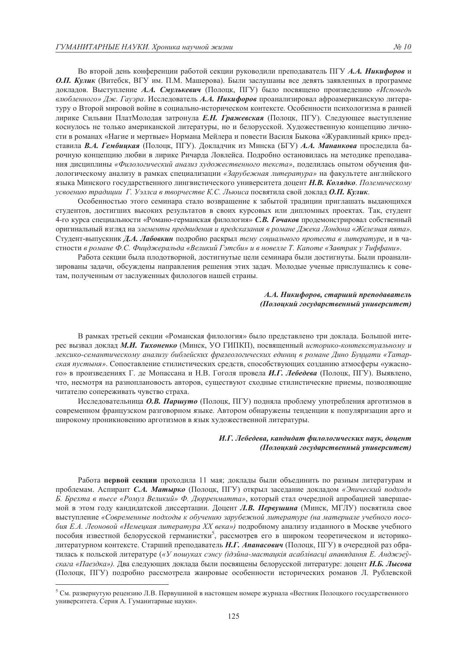Во второй день конференции работой секции руководили преподаватель ПГУ А.А. Никифоров и О.П. Кулик (Витебск, ВГУ им. П.М. Машерова). Были заслушаны все девять заявленных в программе докладов. Выступление А.А. Смулькевич (Полоцк, ПГУ) было посвящено произведению «Исповедь влюбленного» Дж. Гауэра. Исследователь А.А. Никифоров проанализировал афроамериканскую литературу о Второй мировой войне в социально-историческом контексте. Особенности психологизма в ранней лирике Сильвии ПлатМолодая затронула Е.Н. Гражевская (Полоцк, ПГУ). Следующее выступление коснулось не только американской литературы, но и белорусской. Художественную концепцию личности в романах «Нагие и мертвые» Нормана Мейлера и повести Василя Быкова «Журавлиный крик» представила В.А. Гембиикая (Полоцк, ПГУ). Докладчик из Минска (БГУ) А.А. Мананкова проследила барочную концепцию любви в лирике Ричарда Ловлейса. Подробно остановилась на методике преподавания дисциплины «Филологический анализ художественного текста», поделилась опытом обучения филологическому анализу в рамках специализации «Зарубежная литература» на факультете английского языка Минского государственного лингвистического университета доцент Н.В. Колядко. Полемическому усвоению традиции Г. Уэллса в творчестве К.С. Льюиса посвятила свой доклад О.П. Кулик.

Особенностью этого семинара стало возвращение к забытой традиции приглашать выдающихся студентов, достигших высоких результатов в своих курсовых или дипломных проектах. Так, студент 4-го курса специальности «Романо-германская филология» С.В. Гочаков продемонстрировал собственный оригинальный взгляд на элементы предвидения и предсказания в романе Джека Лондона «Железная пята». Студент-выпускник Д.А. Лабовкин подробно раскрыл тему социального протеста в литературе, и в частности в романе Ф.С. Фицджеральда «Великий Гэтсби» и в новелле Т. Капоте «Завтрак у Тиффани».

Работа секции была плодотворной, достигнутые цели семинара были достигнуты. Были проанализированы задачи, обсуждены направления решения этих задач. Молодые ученые прислушались к советам, полученным от заслуженных филологов нашей страны.

### А.А. Никифоров, старший преподаватель (Полоцкий государственный университет)

В рамках третьей секции «Романская филология» было представлено три доклада. Большой интерес вызвал доклад М.И. Тихоненко (Минск, УО ГИПКП), посвященный историко-контекстуальному и лексико-семантическому анализу библейских фразеологических единии в романе Дино Буицати «Татарская пустыня». Сопоставление стилистических средств, способствующих созданию атмосферы «ужасного» в произведениях Г. де Мопассана и Н.В. Гоголя провела И.Г. Лебедева (Полоцк, ПГУ). Выявлено, что, несмотря на разноплановость авторов, существуют сходные стилистические приемы, позволяющие читателю сопереживать чувство страха.

Исследовательница О.В. Паршуто (Полоцк, ПГУ) подняла проблему употребления арготизмов в современном французском разговорном языке. Автором обнаружены тенденции к популяризации арго и широкому проникновению арготизмов в язык художественной литературы.

### И.Г. Лебедева, кандидат филологических наук, доцент (Полоцкий государственный университет)

Работа первой секции проходила 11 мая; доклады были объединить по разным литературам и проблемам. Аспирант С.А. Матырко (Полоцк, ПГУ) открыл заседание докладом «Эпический подход» Б. Брехта в пьесе «Ромул Великий» Ф. Дюрренматта», который стал очередной апробацией завершаемой в этом году кандидатской диссертации. Доцент Л.В. Первушина (Минск, МГЛУ) посвятила свое выступление «Современные подходы к обучению зарубежной литературе (на материале учебного пособия Е.А. Леоновой «Немеикая литература XX века») подробному анализу изданного в Москве учебного пособия известной белорусской германистки<sup>5</sup>, рассмотрев его в широком теоретическом и историколитературном контексте. Старший преподаватель Н.Г. Апанасович (Полоцк, ПГУ) в очередной раз обратилась к польской литературе («У пошуках сэнсу (ідэйна-мастацкія асаблівасці апавядання Е. Анджэеўскага «Паездка»). Два следующих доклада были посвящены белорусской литературе: доцент **Н.Б. Лысова** (Полоцк, ПГУ) подробно рассмотрела жанровые особенности исторических романов Л. Рублевской

<sup>&</sup>lt;sup>5</sup> См. развернутую рецензию Л.В. Первушиной в настоящем номере журнала «Вестник Полоцкого государственного университета. Серия А. Гуманитарные науки».